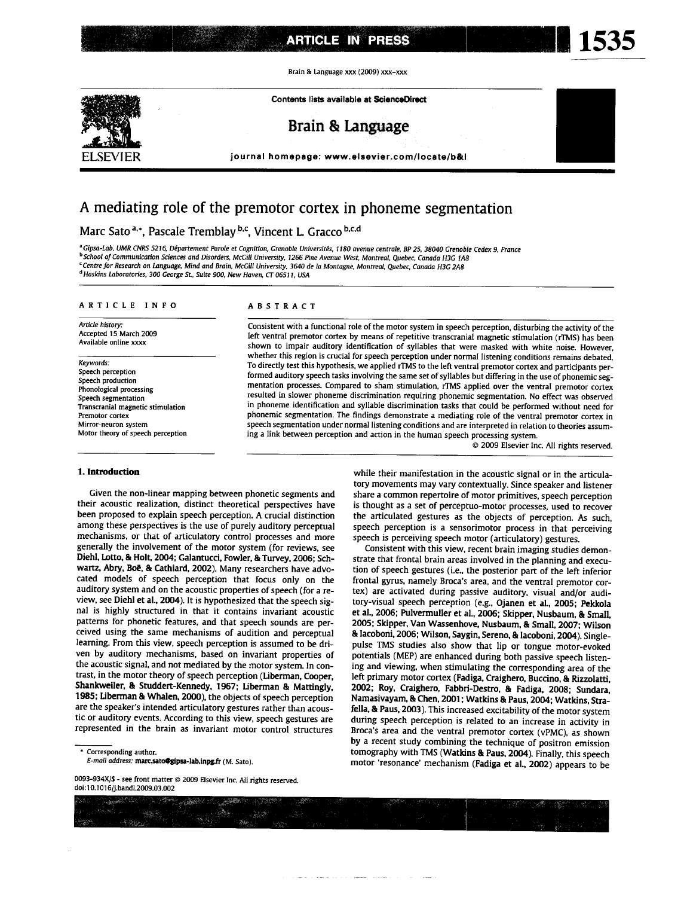Brain & Language xxx (2009) xxx-xxx

Contents lists available at ScienceDirect



Brain & Language

journal homepage: www.elsevier.com/locate/b&l

# A mediating role of the premotor cortex in phoneme segmentation

### Marc Sato<sup>a,\*</sup>, Pascale Tremblay<sup>b,c</sup>, Vincent L. Gracco<sup>b,c,d</sup>

<sup>a</sup> Gipsa-Lab, UMR CNRS 5216, Département Parole et Cognition, Grenoble Universités, 1180 avenue centrale, BP 25, 38040 Grenoble Cedex 9, France <sup>b</sup> School of Communication Sciences and Disorders, McGill University, 1266 Pine Avenue West, Montreal, Quebec, Canada H3G 1A8 <sup>c</sup> Centre for Research on Language, Mind and Brain, McGill University, 3640 de la Montagne, Montreal, Quebec, Canada H3C 2A8 <sup>d</sup> Haskins Laboratories, 300 George St., Suite 900, New Haven, CT 06511, USA

#### ARTICLE INFO

Article history: Accepted 15 March 2009 Available online xxxx

#### Keywords:

Speech perception Speech production Phonological processing Speech segmentation Transcranial magnetic stimulation Premotor cortex Mirror-neuron system Motor theory of speech perception

#### 1. Introduction

#### Given the non-linear mapping between phonetic segments and their acoustic realization, distinct theoretical perspectives have been proposed to explain speech perception. A crucial distinction among these perspectives is the use of purely auditory perceptual mechanisms, or that of articulatory control processes and more generally the involvement of the motor system (for reviews, see Diehl, Lotto, & Holt, 2004; Galantucci, Fowler, & Turvey, 2006; Schwartz, Abry, Boë, & Cathiard, 2002). Many researchers have advocated models of speech perception that focus only on the auditory system and on the acoustic properties of speech (for a review, see Diehl et al., 2004). It is hypothesized that the speech signal is highly structured in that it contains invariant acoustic patterns for phonetic features, and that speech sounds are perceived using the same mechanisms of audition and perceptual learning. From this view, speech perception is assumed to be driven by auditory mechanisms, based on invariant properties of the acoustic signal, and not mediated by the motor system. In contrast, in the motor theory of speech perception (Liberman, Cooper, Shankweiler, & Studdert-Kennedy, 1967; Liberman & Mattingly, 1985; Liberman & Whalen, 2000), the objects of speech perception are the speaker's intended articulatory gestures rather than acoustic or auditory events. According to this view, speech gestures are represented in the brain as invariant motor control structures

Corresponding author.

 $\mathbb{R}^N$ 

#### **ARSTRACT**

Consistent with a functional role of the motor system in speech perception, disturbing the activity of the left ventral premotor cortex by means of repetitive transcranial magnetic stimulation (rTMS) has been shown to impair auditory identification of syllables that were masked with white noise. However, whether this region is crucial for speech perception under normal listening conditions remains debated. To directly test this hypothesis, we applied rTMS to the left ventral premotor cortex and participants performed auditory speech tasks involving the same set of syllables but differing in the use of phonemic segmentation processes. Compared to sham stimulation, rTMS applied over the ventral premotor cortex resulted in slower phoneme discrimination requiring phonemic segmentation. No effect was observed in phoneme identification and syllable discrimination tasks that could be performed without need for phonemic segmentation. The findings demonstrate a mediating role of the ventral premotor cortex in speech segmentation under normal listening conditions and are interpreted in relation to theories assuming a link between perception and action in the human speech processing system.

@ 2009 Elsevier Inc. All rights reserved.

while their manifestation in the acoustic signal or in the articulatory movements may vary contextually. Since speaker and listener share a common repertoire of motor primitives, speech perception is thought as a set of perceptuo-motor processes, used to recover the articulated gestures as the objects of perception. As such, speech perception is a sensorimotor process in that perceiving speech is perceiving speech motor (articulatory) gestures.

Consistent with this view, recent brain imaging studies demonstrate that frontal brain areas involved in the planning and execution of speech gestures (i.e., the posterior part of the left inferior frontal gyrus, namely Broca's area, and the ventral premotor cortex) are activated during passive auditory, visual and/or auditory-visual speech perception (e.g., Ojanen et al., 2005; Pekkola et al., 2006; Pulvermuller et al., 2006; Skipper, Nusbaum, & Small. 2005; Skipper, Van Wassenhove, Nusbaum, & Small, 2007; Wilson & Iacoboni, 2006; Wilson, Saygin, Sereno, & Iacoboni, 2004). Singlepulse TMS studies also show that lip or tongue motor-evoked potentials (MEP) are enhanced during both passive speech listening and viewing, when stimulating the corresponding area of the left primary motor cortex (Fadiga, Craighero, Buccino, & Rizzolatti, 2002; Roy, Craighero, Fabbri-Destro, & Fadiga, 2008; Sundara, Namasivayam, & Chen, 2001; Watkins & Paus, 2004; Watkins, Strafella, & Paus, 2003). This increased excitability of the motor system during speech perception is related to an increase in activity in Broca's area and the ventral premotor cortex (vPMC), as shown by a recent study combining the technique of positron emission tomography with TMS (Watkins & Paus, 2004). Finally, this speech motor 'resonance' mechanism (Fadiga et al., 2002) appears to be

E-mail address: marc.sato@gipsa-lab.inpg.fr (M. Sato).

<sup>0093-934</sup>X/\$ - see front matter @ 2009 Elsevier Inc. All rights reserved. doi:10.1016/i.bandl.2009.03.002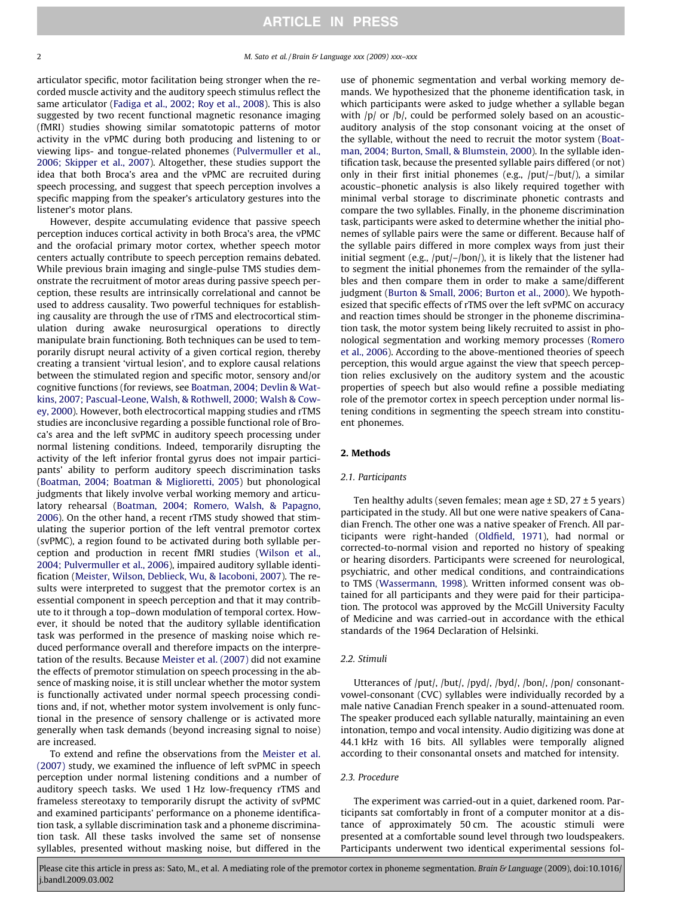articulator specific, motor facilitation being stronger when the recorded muscle activity and the auditory speech stimulus reflect the same articulator [\(Fadiga et al., 2002; Roy et al., 2008](#page-6-0)). This is also suggested by two recent functional magnetic resonance imaging (fMRI) studies showing similar somatotopic patterns of motor activity in the vPMC during both producing and listening to or viewing lips- and tongue-related phonemes ([Pulvermuller et al.,](#page-6-0) [2006; Skipper et al., 2007\)](#page-6-0). Altogether, these studies support the idea that both Broca's area and the vPMC are recruited during speech processing, and suggest that speech perception involves a specific mapping from the speaker's articulatory gestures into the listener's motor plans.

However, despite accumulating evidence that passive speech perception induces cortical activity in both Broca's area, the vPMC and the orofacial primary motor cortex, whether speech motor centers actually contribute to speech perception remains debated. While previous brain imaging and single-pulse TMS studies demonstrate the recruitment of motor areas during passive speech perception, these results are intrinsically correlational and cannot be used to address causality. Two powerful techniques for establishing causality are through the use of rTMS and electrocortical stimulation during awake neurosurgical operations to directly manipulate brain functioning. Both techniques can be used to temporarily disrupt neural activity of a given cortical region, thereby creating a transient 'virtual lesion', and to explore causal relations between the stimulated region and specific motor, sensory and/or cognitive functions (for reviews, see [Boatman, 2004; Devlin & Wat](#page-5-0)[kins, 2007; Pascual-Leone, Walsh, & Rothwell, 2000; Walsh & Cow](#page-5-0)[ey, 2000](#page-5-0)). However, both electrocortical mapping studies and rTMS studies are inconclusive regarding a possible functional role of Broca's area and the left svPMC in auditory speech processing under normal listening conditions. Indeed, temporarily disrupting the activity of the left inferior frontal gyrus does not impair participants' ability to perform auditory speech discrimination tasks ([Boatman, 2004; Boatman & Miglioretti, 2005](#page-5-0)) but phonological judgments that likely involve verbal working memory and articulatory rehearsal [\(Boatman, 2004; Romero, Walsh, & Papagno,](#page-5-0) [2006\)](#page-5-0). On the other hand, a recent rTMS study showed that stimulating the superior portion of the left ventral premotor cortex (svPMC), a region found to be activated during both syllable perception and production in recent fMRI studies [\(Wilson et al.,](#page-6-0) [2004; Pulvermuller et al., 2006](#page-6-0)), impaired auditory syllable identification ([Meister, Wilson, Deblieck, Wu, & Iacoboni, 2007](#page-6-0)). The results were interpreted to suggest that the premotor cortex is an essential component in speech perception and that it may contribute to it through a top–down modulation of temporal cortex. However, it should be noted that the auditory syllable identification task was performed in the presence of masking noise which reduced performance overall and therefore impacts on the interpretation of the results. Because [Meister et al. \(2007\)](#page-6-0) did not examine the effects of premotor stimulation on speech processing in the absence of masking noise, it is still unclear whether the motor system is functionally activated under normal speech processing conditions and, if not, whether motor system involvement is only functional in the presence of sensory challenge or is activated more generally when task demands (beyond increasing signal to noise) are increased.

To extend and refine the observations from the [Meister et al.](#page-6-0) [\(2007\)](#page-6-0) study, we examined the influence of left svPMC in speech perception under normal listening conditions and a number of auditory speech tasks. We used 1 Hz low-frequency rTMS and frameless stereotaxy to temporarily disrupt the activity of svPMC and examined participants' performance on a phoneme identification task, a syllable discrimination task and a phoneme discrimination task. All these tasks involved the same set of nonsense syllables, presented without masking noise, but differed in the

use of phonemic segmentation and verbal working memory demands. We hypothesized that the phoneme identification task, in which participants were asked to judge whether a syllable began with /p/ or /b/, could be performed solely based on an acousticauditory analysis of the stop consonant voicing at the onset of the syllable, without the need to recruit the motor system ([Boat](#page-5-0)[man, 2004; Burton, Small, & Blumstein, 2000\)](#page-5-0). In the syllable identification task, because the presented syllable pairs differed (or not) only in their first initial phonemes (e.g., /put/–/but/), a similar acoustic–phonetic analysis is also likely required together with minimal verbal storage to discriminate phonetic contrasts and compare the two syllables. Finally, in the phoneme discrimination task, participants were asked to determine whether the initial phonemes of syllable pairs were the same or different. Because half of the syllable pairs differed in more complex ways from just their initial segment (e.g., /put/–/bon/), it is likely that the listener had to segment the initial phonemes from the remainder of the syllables and then compare them in order to make a same/different judgment (Burton & Small, [2006; Burton et al., 2000\)](#page-5-0). We hypothesized that specific effects of rTMS over the left svPMC on accuracy and reaction times should be stronger in the phoneme discrimination task, the motor system being likely recruited to assist in phonological segmentation and working memory processes [\(Romero](#page-6-0) [et al., 2006](#page-6-0)). According to the above-mentioned theories of speech perception, this would argue against the view that speech perception relies exclusively on the auditory system and the acoustic properties of speech but also would refine a possible mediating role of the premotor cortex in speech perception under normal listening conditions in segmenting the speech stream into constituent phonemes.

#### 2. Methods

#### 2.1. Participants

Ten healthy adults (seven females; mean age  $\pm$  SD, 27  $\pm$  5 years) participated in the study. All but one were native speakers of Canadian French. The other one was a native speaker of French. All participants were right-handed ([Oldfield, 1971\)](#page-6-0), had normal or corrected-to-normal vision and reported no history of speaking or hearing disorders. Participants were screened for neurological, psychiatric, and other medical conditions, and contraindications to TMS ([Wassermann, 1998](#page-6-0)). Written informed consent was obtained for all participants and they were paid for their participation. The protocol was approved by the McGill University Faculty of Medicine and was carried-out in accordance with the ethical standards of the 1964 Declaration of Helsinki.

#### 2.2. Stimuli

Utterances of /put/, /but/, /pyd/, /byd/, /bon/, /pon/ consonantvowel-consonant (CVC) syllables were individually recorded by a male native Canadian French speaker in a sound-attenuated room. The speaker produced each syllable naturally, maintaining an even intonation, tempo and vocal intensity. Audio digitizing was done at 44.1 kHz with 16 bits. All syllables were temporally aligned according to their consonantal onsets and matched for intensity.

#### 2.3. Procedure

The experiment was carried-out in a quiet, darkened room. Participants sat comfortably in front of a computer monitor at a distance of approximately 50 cm. The acoustic stimuli were presented at a comfortable sound level through two loudspeakers. Participants underwent two identical experimental sessions fol-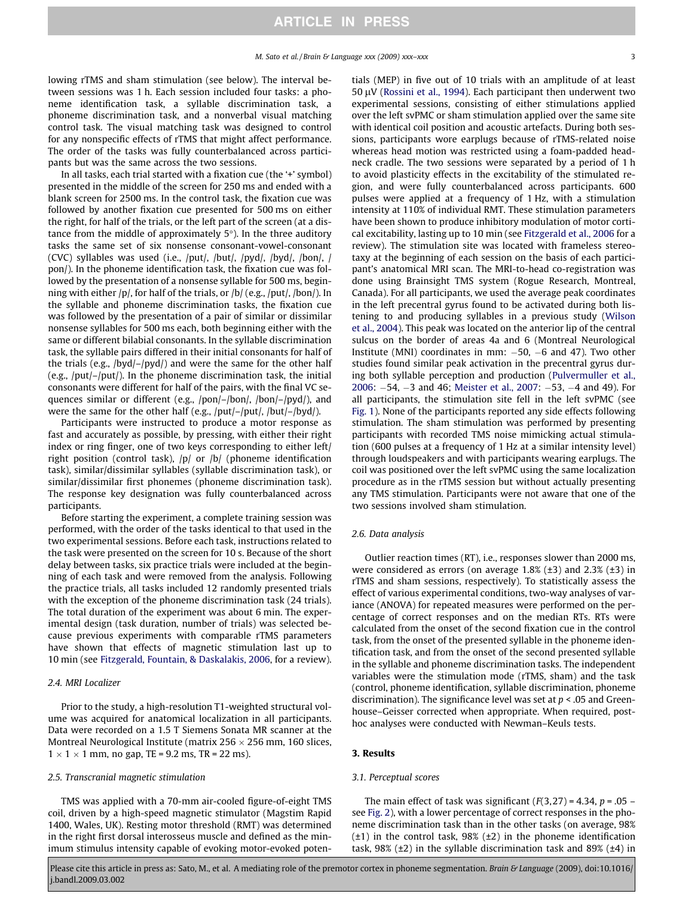lowing rTMS and sham stimulation (see below). The interval between sessions was 1 h. Each session included four tasks: a phoneme identification task, a syllable discrimination task, a phoneme discrimination task, and a nonverbal visual matching control task. The visual matching task was designed to control for any nonspecific effects of rTMS that might affect performance. The order of the tasks was fully counterbalanced across participants but was the same across the two sessions.

In all tasks, each trial started with a fixation cue (the '+' symbol) presented in the middle of the screen for 250 ms and ended with a blank screen for 2500 ms. In the control task, the fixation cue was followed by another fixation cue presented for 500 ms on either the right, for half of the trials, or the left part of the screen (at a distance from the middle of approximately  $5^\circ$ ). In the three auditory tasks the same set of six nonsense consonant-vowel-consonant (CVC) syllables was used (i.e., /put/, /but/, /pyd/, /byd/, /bon/, / pon/). In the phoneme identification task, the fixation cue was followed by the presentation of a nonsense syllable for 500 ms, beginning with either /p/, for half of the trials, or /b/ (e.g., /put/, /bon/). In the syllable and phoneme discrimination tasks, the fixation cue was followed by the presentation of a pair of similar or dissimilar nonsense syllables for 500 ms each, both beginning either with the same or different bilabial consonants. In the syllable discrimination task, the syllable pairs differed in their initial consonants for half of the trials (e.g., /byd/–/pyd/) and were the same for the other half (e.g., /put/–/put/). In the phoneme discrimination task, the initial consonants were different for half of the pairs, with the final VC sequences similar or different (e.g., /pon/–/bon/, /bon/–/pyd/), and were the same for the other half (e.g., /put/–/put/, /but/–/byd/).

Participants were instructed to produce a motor response as fast and accurately as possible, by pressing, with either their right index or ring finger, one of two keys corresponding to either left/ right position (control task), /p/ or /b/ (phoneme identification task), similar/dissimilar syllables (syllable discrimination task), or similar/dissimilar first phonemes (phoneme discrimination task). The response key designation was fully counterbalanced across participants.

Before starting the experiment, a complete training session was performed, with the order of the tasks identical to that used in the two experimental sessions. Before each task, instructions related to the task were presented on the screen for 10 s. Because of the short delay between tasks, six practice trials were included at the beginning of each task and were removed from the analysis. Following the practice trials, all tasks included 12 randomly presented trials with the exception of the phoneme discrimination task (24 trials). The total duration of the experiment was about 6 min. The experimental design (task duration, number of trials) was selected because previous experiments with comparable rTMS parameters have shown that effects of magnetic stimulation last up to 10 min (see [Fitzgerald, Fountain, & Daskalakis, 2006](#page-6-0), for a review).

#### 2.4. MRI Localizer

Prior to the study, a high-resolution T1-weighted structural volume was acquired for anatomical localization in all participants. Data were recorded on a 1.5 T Siemens Sonata MR scanner at the Montreal Neurological Institute (matrix 256  $\times$  256 mm, 160 slices,  $1 \times 1 \times 1$  mm, no gap, TE = 9.2 ms, TR = 22 ms).

#### 2.5. Transcranial magnetic stimulation

TMS was applied with a 70-mm air-cooled figure-of-eight TMS coil, driven by a high-speed magnetic stimulator (Magstim Rapid 1400, Wales, UK). Resting motor threshold (RMT) was determined in the right first dorsal interosseus muscle and defined as the minimum stimulus intensity capable of evoking motor-evoked potentials (MEP) in five out of 10 trials with an amplitude of at least 50  $\mu$ V ([Rossini et al., 1994\)](#page-6-0). Each participant then underwent two experimental sessions, consisting of either stimulations applied over the left svPMC or sham stimulation applied over the same site with identical coil position and acoustic artefacts. During both sessions, participants wore earplugs because of rTMS-related noise whereas head motion was restricted using a foam-padded headneck cradle. The two sessions were separated by a period of 1 h to avoid plasticity effects in the excitability of the stimulated region, and were fully counterbalanced across participants. 600 pulses were applied at a frequency of 1 Hz, with a stimulation intensity at 110% of individual RMT. These stimulation parameters have been shown to produce inhibitory modulation of motor cortical excitability, lasting up to 10 min (see [Fitzgerald et al., 2006](#page-6-0) for a review). The stimulation site was located with frameless stereotaxy at the beginning of each session on the basis of each participant's anatomical MRI scan. The MRI-to-head co-registration was done using Brainsight TMS system (Rogue Research, Montreal, Canada). For all participants, we used the average peak coordinates in the left precentral gyrus found to be activated during both listening to and producing syllables in a previous study ([Wilson](#page-6-0) [et al., 2004](#page-6-0)). This peak was located on the anterior lip of the central sulcus on the border of areas 4a and 6 (Montreal Neurological Institute (MNI) coordinates in mm:  $-50$ ,  $-6$  and 47). Two other studies found similar peak activation in the precentral gyrus during both syllable perception and production ([Pulvermuller et al.,](#page-6-0) [2006](#page-6-0):  $-54$ ,  $-3$  and 46; [Meister et al., 2007](#page-6-0):  $-53$ ,  $-4$  and 49). For all participants, the stimulation site fell in the left svPMC (see [Fig. 1\)](#page-3-0). None of the participants reported any side effects following stimulation. The sham stimulation was performed by presenting participants with recorded TMS noise mimicking actual stimulation (600 pulses at a frequency of 1 Hz at a similar intensity level) through loudspeakers and with participants wearing earplugs. The coil was positioned over the left svPMC using the same localization procedure as in the rTMS session but without actually presenting any TMS stimulation. Participants were not aware that one of the two sessions involved sham stimulation.

#### 2.6. Data analysis

Outlier reaction times (RT), i.e., responses slower than 2000 ms, were considered as errors (on average  $1.8\%$  ( $\pm 3$ ) and  $2.3\%$  ( $\pm 3$ ) in rTMS and sham sessions, respectively). To statistically assess the effect of various experimental conditions, two-way analyses of variance (ANOVA) for repeated measures were performed on the percentage of correct responses and on the median RTs. RTs were calculated from the onset of the second fixation cue in the control task, from the onset of the presented syllable in the phoneme identification task, and from the onset of the second presented syllable in the syllable and phoneme discrimination tasks. The independent variables were the stimulation mode (rTMS, sham) and the task (control, phoneme identification, syllable discrimination, phoneme discrimination). The significance level was set at  $p < .05$  and Greenhouse–Geisser corrected when appropriate. When required, posthoc analyses were conducted with Newman–Keuls tests.

#### 3. Results

#### 3.1. Perceptual scores

The main effect of task was significant  $(F(3,27) = 4.34, p = .05$ see [Fig. 2](#page-3-0)), with a lower percentage of correct responses in the phoneme discrimination task than in the other tasks (on average, 98%  $(\pm 1)$  in the control task, 98%  $(\pm 2)$  in the phoneme identification task, 98%  $(\pm 2)$  in the syllable discrimination task and 89%  $(\pm 4)$  in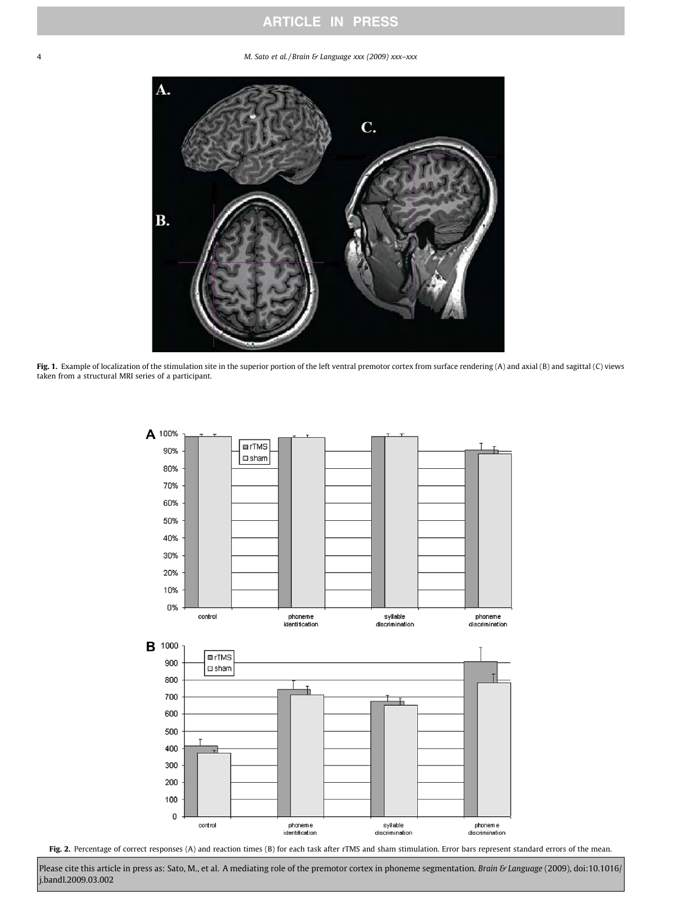## ARTICLE IN PRESS

<span id="page-3-0"></span>4 M. Sato et al. / Brain & Language xxx (2009) xxx–xxx



Fig. 1. Example of localization of the stimulation site in the superior portion of the left ventral premotor cortex from surface rendering (A) and axial (B) and sagittal (C) views taken from a structural MRI series of a participant.



Fig. 2. Percentage of correct responses (A) and reaction times (B) for each task after rTMS and sham stimulation. Error bars represent standard errors of the mean.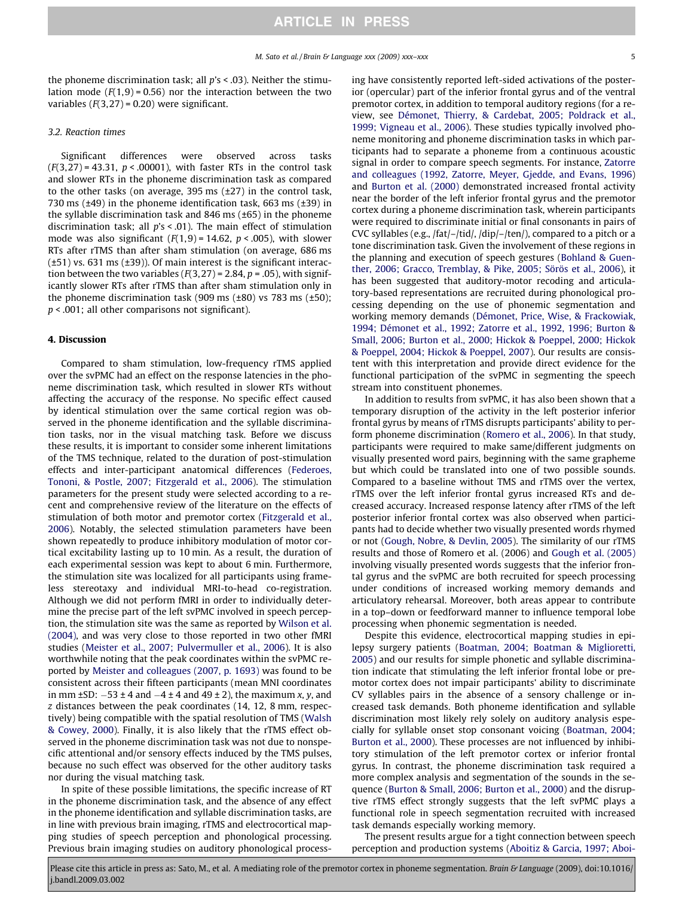the phoneme discrimination task; all  $p's < .03$ ). Neither the stimulation mode  $(F(1,9) = 0.56)$  nor the interaction between the two variables  $(F(3,27) = 0.20)$  were significant.

#### 3.2. Reaction times

Significant differences were observed across tasks  $(F(3,27) = 43.31, p < .00001)$ , with faster RTs in the control task and slower RTs in the phoneme discrimination task as compared to the other tasks (on average, 395 ms (±27) in the control task, 730 ms  $(\pm 49)$  in the phoneme identification task, 663 ms  $(\pm 39)$  in the syllable discrimination task and 846 ms (±65) in the phoneme discrimination task; all  $p's < .01$ ). The main effect of stimulation mode was also significant  $(F(1,9) = 14.62, p < .005)$ , with slower RTs after rTMS than after sham stimulation (on average, 686 ms  $(\pm 51)$  vs. 631 ms  $(\pm 39)$ ). Of main interest is the significant interaction between the two variables  $(F(3,27) = 2.84, p = .05)$ , with significantly slower RTs after rTMS than after sham stimulation only in the phoneme discrimination task (909 ms  $(\pm 80)$  vs 783 ms  $(\pm 50)$ ;  $p < .001$ ; all other comparisons not significant).

#### 4. Discussion

Compared to sham stimulation, low-frequency rTMS applied over the svPMC had an effect on the response latencies in the phoneme discrimination task, which resulted in slower RTs without affecting the accuracy of the response. No specific effect caused by identical stimulation over the same cortical region was observed in the phoneme identification and the syllable discrimination tasks, nor in the visual matching task. Before we discuss these results, it is important to consider some inherent limitations of the TMS technique, related to the duration of post-stimulation effects and inter-participant anatomical differences [\(Federoes,](#page-6-0) [Tononi, & Postle, 2007; Fitzgerald et al., 2006\)](#page-6-0). The stimulation parameters for the present study were selected according to a recent and comprehensive review of the literature on the effects of stimulation of both motor and premotor cortex [\(Fitzgerald et al.,](#page-6-0) [2006](#page-6-0)). Notably, the selected stimulation parameters have been shown repeatedly to produce inhibitory modulation of motor cortical excitability lasting up to 10 min. As a result, the duration of each experimental session was kept to about 6 min. Furthermore, the stimulation site was localized for all participants using frameless stereotaxy and individual MRI-to-head co-registration. Although we did not perform fMRI in order to individually determine the precise part of the left svPMC involved in speech perception, the stimulation site was the same as reported by [Wilson et al.](#page-6-0) [\(2004\)](#page-6-0), and was very close to those reported in two other fMRI studies ([Meister et al., 2007; Pulvermuller et al., 2006](#page-6-0)). It is also worthwhile noting that the peak coordinates within the svPMC reported by [Meister and colleagues \(2007, p. 1693\)](#page-6-0) was found to be consistent across their fifteen participants (mean MNI coordinates in mm  $\pm$ SD:  $-53 \pm 4$  and  $-4 \pm 4$  and  $49 \pm 2$ ), the maximum x, y, and z distances between the peak coordinates (14, 12, 8 mm, respectively) being compatible with the spatial resolution of TMS ([Walsh](#page-6-0) [& Cowey, 2000\)](#page-6-0). Finally, it is also likely that the rTMS effect observed in the phoneme discrimination task was not due to nonspecific attentional and/or sensory effects induced by the TMS pulses, because no such effect was observed for the other auditory tasks nor during the visual matching task.

In spite of these possible limitations, the specific increase of RT in the phoneme discrimination task, and the absence of any effect in the phoneme identification and syllable discrimination tasks, are in line with previous brain imaging, rTMS and electrocortical mapping studies of speech perception and phonological processing. Previous brain imaging studies on auditory phonological processing have consistently reported left-sided activations of the posterior (opercular) part of the inferior frontal gyrus and of the ventral premotor cortex, in addition to temporal auditory regions (for a review, see [Démonet, Thierry, & Cardebat, 2005; Poldrack et al.,](#page-5-0) [1999; Vigneau et al., 2006](#page-5-0)). These studies typically involved phoneme monitoring and phoneme discrimination tasks in which participants had to separate a phoneme from a continuous acoustic signal in order to compare speech segments. For instance, [Zatorre](#page-6-0) [and colleagues \(1992, Zatorre, Meyer, Gjedde, and Evans, 1996\)](#page-6-0) and [Burton et al. \(2000\)](#page-5-0) demonstrated increased frontal activity near the border of the left inferior frontal gyrus and the premotor cortex during a phoneme discrimination task, wherein participants were required to discriminate initial or final consonants in pairs of CVC syllables (e.g., /fat/–/tid/, /dip/–/ten/), compared to a pitch or a tone discrimination task. Given the involvement of these regions in the planning and execution of speech gestures ([Bohland & Guen](#page-5-0)[ther, 2006; Gracco, Tremblay, & Pike, 2005; Sörös et al., 2006](#page-5-0)), it has been suggested that auditory-motor recoding and articulatory-based representations are recruited during phonological processing depending on the use of phonemic segmentation and working memory demands ([Démonet, Price, Wise, & Frackowiak,](#page-5-0) [1994; Démonet et al., 1992; Zatorre et al., 1992, 1996; Burton &](#page-5-0) [Small, 2006; Burton et al., 2000; Hickok & Poeppel, 2000; Hickok](#page-5-0) [& Poeppel, 2004; Hickok & Poeppel, 2007](#page-5-0)). Our results are consistent with this interpretation and provide direct evidence for the functional participation of the svPMC in segmenting the speech stream into constituent phonemes.

In addition to results from svPMC, it has also been shown that a temporary disruption of the activity in the left posterior inferior frontal gyrus by means of rTMS disrupts participants' ability to perform phoneme discrimination ([Romero et al., 2006](#page-6-0)). In that study, participants were required to make same/different judgments on visually presented word pairs, beginning with the same grapheme but which could be translated into one of two possible sounds. Compared to a baseline without TMS and rTMS over the vertex, rTMS over the left inferior frontal gyrus increased RTs and decreased accuracy. Increased response latency after rTMS of the left posterior inferior frontal cortex was also observed when participants had to decide whether two visually presented words rhymed or not ([Gough, Nobre, & Devlin, 2005\)](#page-6-0). The similarity of our rTMS results and those of Romero et al. (2006) and [Gough et al. \(2005\)](#page-6-0) involving visually presented words suggests that the inferior frontal gyrus and the svPMC are both recruited for speech processing under conditions of increased working memory demands and articulatory rehearsal. Moreover, both areas appear to contribute in a top–down or feedforward manner to influence temporal lobe processing when phonemic segmentation is needed.

Despite this evidence, electrocortical mapping studies in epilepsy surgery patients [\(Boatman, 2004; Boatman & Miglioretti,](#page-5-0) [2005](#page-5-0)) and our results for simple phonetic and syllable discrimination indicate that stimulating the left inferior frontal lobe or premotor cortex does not impair participants' ability to discriminate CV syllables pairs in the absence of a sensory challenge or increased task demands. Both phoneme identification and syllable discrimination most likely rely solely on auditory analysis especially for syllable onset stop consonant voicing ([Boatman, 2004;](#page-5-0) [Burton et al., 2000](#page-5-0)). These processes are not influenced by inhibitory stimulation of the left premotor cortex or inferior frontal gyrus. In contrast, the phoneme discrimination task required a more complex analysis and segmentation of the sounds in the sequence ([Burton & Small, 2006; Burton et al., 2000\)](#page-5-0) and the disruptive rTMS effect strongly suggests that the left svPMC plays a functional role in speech segmentation recruited with increased task demands especially working memory.

The present results argue for a tight connection between speech perception and production systems [\(Aboitiz & Garcia, 1997; Aboi-](#page-5-0)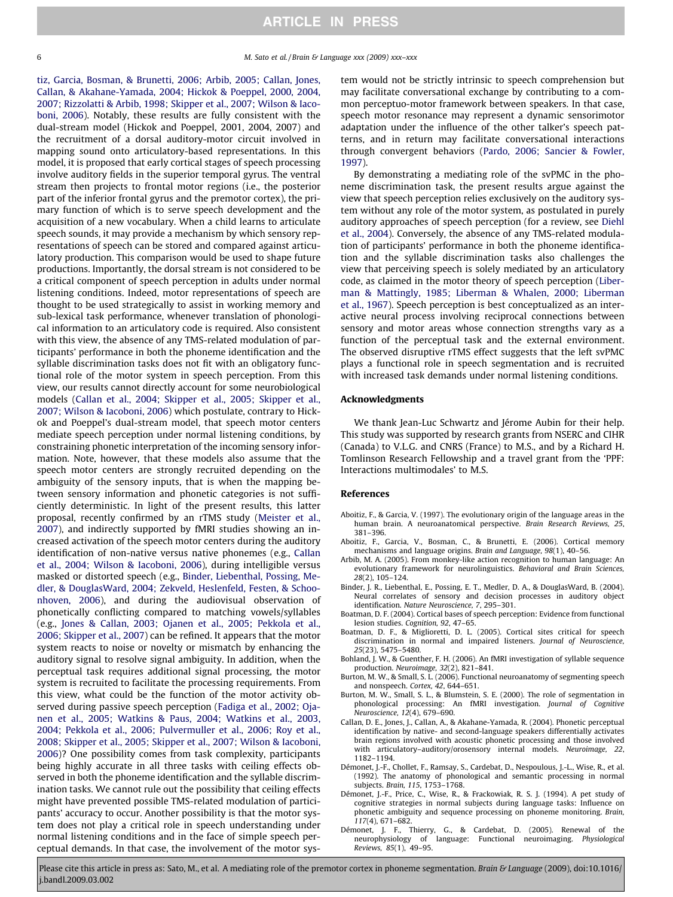<span id="page-5-0"></span>

tiz, Garcia, Bosman, & Brunetti, 2006; Arbib, 2005; Callan, Jones, Callan, & Akahane-Yamada, 2004; Hickok & Poeppel, 2000, 2004, 2007; Rizzolatti & Arbib, 1998; Skipper et al., 2007; Wilson & Iacoboni, 2006). Notably, these results are fully consistent with the dual-stream model (Hickok and Poeppel, 2001, 2004, 2007) and the recruitment of a dorsal auditory-motor circuit involved in mapping sound onto articulatory-based representations. In this model, it is proposed that early cortical stages of speech processing involve auditory fields in the superior temporal gyrus. The ventral stream then projects to frontal motor regions (i.e., the posterior part of the inferior frontal gyrus and the premotor cortex), the primary function of which is to serve speech development and the acquisition of a new vocabulary. When a child learns to articulate speech sounds, it may provide a mechanism by which sensory representations of speech can be stored and compared against articulatory production. This comparison would be used to shape future productions. Importantly, the dorsal stream is not considered to be a critical component of speech perception in adults under normal listening conditions. Indeed, motor representations of speech are thought to be used strategically to assist in working memory and sub-lexical task performance, whenever translation of phonological information to an articulatory code is required. Also consistent with this view, the absence of any TMS-related modulation of participants' performance in both the phoneme identification and the syllable discrimination tasks does not fit with an obligatory functional role of the motor system in speech perception. From this view, our results cannot directly account for some neurobiological models (Callan et al., 2004; Skipper et al., 2005; Skipper et al., 2007; Wilson & Iacoboni, 2006) which postulate, contrary to Hickok and Poeppel's dual-stream model, that speech motor centers mediate speech perception under normal listening conditions, by constraining phonetic interpretation of the incoming sensory information. Note, however, that these models also assume that the speech motor centers are strongly recruited depending on the ambiguity of the sensory inputs, that is when the mapping between sensory information and phonetic categories is not sufficiently deterministic. In light of the present results, this latter proposal, recently confirmed by an rTMS study ([Meister et al.,](#page-6-0) [2007\)](#page-6-0), and indirectly supported by fMRI studies showing an increased activation of the speech motor centers during the auditory identification of non-native versus native phonemes (e.g., Callan et al., 2004; Wilson & Iacoboni, 2006), during intelligible versus masked or distorted speech (e.g., Binder, Liebenthal, Possing, Medler, & DouglasWard, 2004; Zekveld, Heslenfeld, Festen, & Schoonhoven, 2006), and during the audiovisual observation of phonetically conflicting compared to matching vowels/syllables (e.g., [Jones & Callan, 2003; Ojanen et al., 2005; Pekkola et al.,](#page-6-0) [2006; Skipper et al., 2007\)](#page-6-0) can be refined. It appears that the motor system reacts to noise or novelty or mismatch by enhancing the auditory signal to resolve signal ambiguity. In addition, when the perceptual task requires additional signal processing, the motor system is recruited to facilitate the processing requirements. From this view, what could be the function of the motor activity observed during passive speech perception ([Fadiga et al., 2002; Oja](#page-6-0)[nen et al., 2005; Watkins & Paus, 2004; Watkins et al., 2003,](#page-6-0) [2004; Pekkola et al., 2006; Pulvermuller et al., 2006; Roy et al.,](#page-6-0) [2008; Skipper et al., 2005; Skipper et al., 2007; Wilson & Iacoboni,](#page-6-0) [2006\)](#page-6-0)? One possibility comes from task complexity, participants being highly accurate in all three tasks with ceiling effects observed in both the phoneme identification and the syllable discrimination tasks. We cannot rule out the possibility that ceiling effects might have prevented possible TMS-related modulation of participants' accuracy to occur. Another possibility is that the motor system does not play a critical role in speech understanding under normal listening conditions and in the face of simple speech perceptual demands. In that case, the involvement of the motor system would not be strictly intrinsic to speech comprehension but may facilitate conversational exchange by contributing to a common perceptuo-motor framework between speakers. In that case, speech motor resonance may represent a dynamic sensorimotor adaptation under the influence of the other talker's speech patterns, and in return may facilitate conversational interactions through convergent behaviors ([Pardo, 2006; Sancier & Fowler,](#page-6-0) [1997\)](#page-6-0).

By demonstrating a mediating role of the svPMC in the phoneme discrimination task, the present results argue against the view that speech perception relies exclusively on the auditory system without any role of the motor system, as postulated in purely auditory approaches of speech perception (for a review, see [Diehl](#page-6-0) [et al., 2004\)](#page-6-0). Conversely, the absence of any TMS-related modulation of participants' performance in both the phoneme identification and the syllable discrimination tasks also challenges the view that perceiving speech is solely mediated by an articulatory code, as claimed in the motor theory of speech perception ([Liber](#page-6-0)[man & Mattingly, 1985; Liberman & Whalen, 2000; Liberman](#page-6-0) [et al., 1967\)](#page-6-0). Speech perception is best conceptualized as an interactive neural process involving reciprocal connections between sensory and motor areas whose connection strengths vary as a function of the perceptual task and the external environment. The observed disruptive rTMS effect suggests that the left svPMC plays a functional role in speech segmentation and is recruited with increased task demands under normal listening conditions.

#### Acknowledgments

We thank Jean-Luc Schwartz and Jérome Aubin for their help. This study was supported by research grants from NSERC and CIHR (Canada) to V.L.G. and CNRS (France) to M.S., and by a Richard H. Tomlinson Research Fellowship and a travel grant from the 'PPF: Interactions multimodales' to M.S.

#### References

- Aboitiz, F., & Garcia, V. (1997). The evolutionary origin of the language areas in the human brain. A neuroanatomical perspective. Brain Research Reviews, 25, 381–396.
- Aboitiz, F., Garcia, V., Bosman, C., & Brunetti, E. (2006). Cortical memory mechanisms and language origins. Brain and Language, 98(1), 40–56.
- Arbib, M. A. (2005). From monkey-like action recognition to human language: An evolutionary framework for neurolinguistics. Behavioral and Brain Sciences, 28(2), 105–124.
- Binder, J. R., Liebenthal, E., Possing, E. T., Medler, D. A., & DouglasWard, B. (2004). Neural correlates of sensory and decision processes in auditory object identification. Nature Neuroscience, 7, 295–301.
- Boatman, D. F. (2004). Cortical bases of speech perception: Evidence from functional lesion studies. Cognition, 92, 47–65.
- Boatman, D. F., & Miglioretti, D. L. (2005). Cortical sites critical for speech discrimination in normal and impaired listeners. Journal of Neuroscience, 25(23), 5475–5480.
- Bohland, J. W., & Guenther, F. H. (2006). An fMRI investigation of syllable sequence production. Neuroimage, 32(2), 821–841.
- Burton, M. W., & Small, S. L. (2006). Functional neuroanatomy of segmenting speech and nonspeech. Cortex, 42, 644–651.
- Burton, M. W., Small, S. L., & Blumstein, S. E. (2000). The role of segmentation in phonological processing: An fMRI investigation. Journal of Cognitive Neuroscience, 12(4), 679–690.
- Callan, D. E., Jones, J., Callan, A., & Akahane-Yamada, R. (2004). Phonetic perceptual identification by native- and second-language speakers differentially activates brain regions involved with acoustic phonetic processing and those involved with articulatory–auditory/orosensory internal models. Neuroimage, 22, 1182–1194.
- Démonet, J.-F., Chollet, F., Ramsay, S., Cardebat, D., Nespoulous, J.-L., Wise, R., et al. (1992). The anatomy of phonological and semantic processing in normal subjects. Brain, 115, 1753–1768.
- Démonet, J.-F., Price, C., Wise, R., & Frackowiak, R. S. J. (1994). A pet study of cognitive strategies in normal subjects during language tasks: Influence on phonetic ambiguity and sequence processing on phoneme monitoring. Brain, 117(4), 671–682.
- Démonet, J. F., Thierry, G., & Cardebat, D. (2005). Renewal of the neurophysiology of language: Functional neuroimaging. Physiological Reviews, 85(1), 49–95.